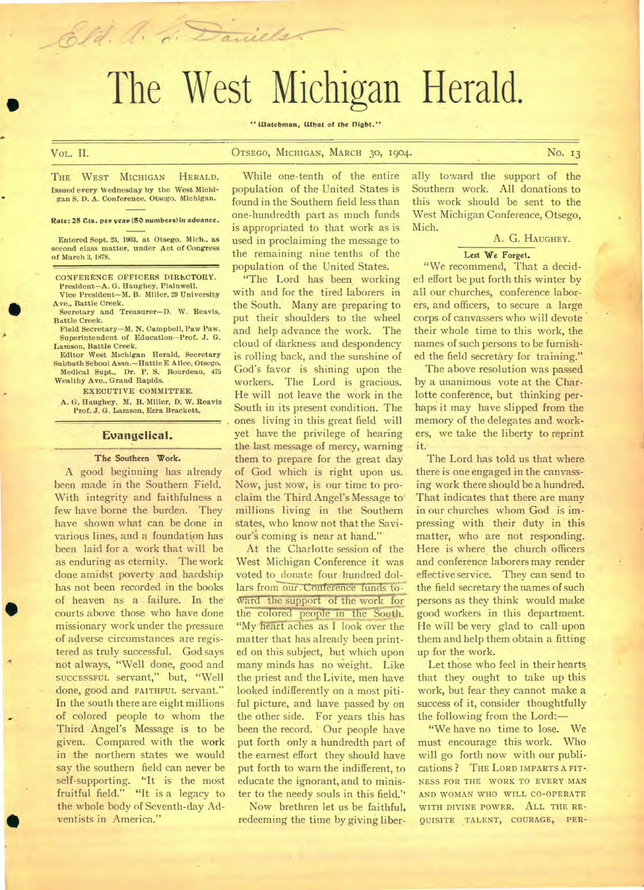# The West Michigan Herald.

#### **" Watchman, What of the flight."**

# VoL. II. **OTSEGO, MICHIGAN, MARCH 30, 1904. No. 13**

THE WEST MICHIGAN HERALD. Issued every Wednesday by the West Michigan S. 1). A. Conference. Otsego, Michigan.

Eld. A. d. Daniels

Rate: 25 Cts. per year (50 numbers) in advance.

Entered Sept. 23, 1903. at Otsego. Mich.. as second class matter, under Act of Congress of March 3, 1878.

CONFERENCE OFFICERS DIRECTORY. President—A. G. Haughey, Plainwell. Vice President—M. B. Miller, 29 University

Ave., Battle Creek. Secretary and Treasurer—D. W. Reavis,

Battle Creek. Field Secretary—M. N. Campbell, Paw Paw.

Superintendent of Education—Prof. J. G. Lamson, Battle Creek.

Editor West Michigan Herald, Secretary Sabbath School Assn.—Hattie E **A** llee, Otsego. Medical Supt., Dr. P. S. Bourdeau, 475 Wealthy Ave., Grand Rapids.

EXECUTIVE COMMITTEE. A. G. Haughey, M. B. Miller, D. W. Reavis

Prof. J. G. Lamson. Ezra Brackett.

## **Evangelical.**

#### **The Southern Work.**

A good beginning has already been made in the Southern Field. With integrity and faithfulness a few have borne the burden. They have shown what can be done in various lines, and a foundation has been laid for a work that will be as enduring as eternity. The work done amidst poverty and hardship has not been recorded in the books of heaven as a failure. In the courts above those who have done missionary work under the pressure of adverse circumstances are registered as truly successful. God says not always, "Well done, good and **SUCCESSFUL** servant," but, "Well done, good and FAITHFUL servant." In the south there are eight millions of colored people to whom the Third Angel's Message is to be given. Compared with the work in the northern states we would say the southern field can never be self-supporting. "It is the most fruitful field." "It is a legacy to the whole body of Seventh-day Adventists in America."

•

While one-tenth of the entire population of the United States is found in the Southern field less than one-hundredth part as much funds is appropriated to that work as is used in proclaiming the message to the remaining nine tenths of the population of the United States.

"The Lord has been working with and for the tired laborers in the South. Many are preparing to put their shoulders to the wheel and help advance the work. The cloud of darkness and despondency is rolling back, and the sunshine of God's favor is shining upon the workers. The Lord is gracious. He will not leave the work in the South in its present condition. The ones living in this great field will yet have the privilege of hearing the last message of mercy, warning them to prepare for the great day of God which is right upon us. Now, just **NOW, is** our time to proclaim the Third Angel's Message to' millions living in the Southern states, who know not that the Saviour's coming is near at hand."

At the Charlotte session of the West Michigan Conference it was voted to donate four hundred dollars from our Conference funds toward the support of the work for the colored people in the South. "My heart aches as I look over the matter that has already been printed on this subject, but which upon many minds has no weight. Like the priest and the Livite, men have looked indifferently on a most pitiful picture, and have passed by on the other side. For years this has been the record. ' Our people have put forth only a hundredth part of the earnest effort they should have put forth to warn the indifferent, to educate the ignorant, and to minister to the needy souls in this field."

Now brethren let us be faithful, redeeming the time by giving liber-

ally toward the support of the Southern work. All donations to this work should be sent to the West Michigan Conference, Otsego, Mich.

# A. G. HAUGHEY.

## **Lest We Forget.**

"We recommend, That a decided effort be put forth this winter by all our churches, conference laborers, and officers, to secure a large corps of canvassers who will devote their whole time to this work, the names of such persons to be furnished the field secretary for training."

The above resolution was passed by a unanimous vote at the Charlotte conference, but thinking perhaps it may have slipped from the memory of the delegates and workers, we take the liberty to reprint it.

The Lord has told us that where there is one engaged in the canvassing work there should be a hundred. That indicates that there are many in our churches whom God is impressing with their duty in this matter, who are not responding. Here is where the church officers and conference laborers may render effective service. They can send to the field secretary the names of such persons as they think would make good workers in this department. He will be very glad to call-upon them and help them obtain a fittingup for the work.

Let those who feel in their hearts. that they ought to take up this work, but fear they cannot make a success of it, consider thoughtfully the following from the Lord:—

"We have no time to lose. We must encourage this work. Who will go forth now with our publications ? **THE LORD IMPARTS A FIT-.. NESS FOR THE WORK TO EVERY MAN AND WOMAN WHO WILL CO-OPERATE WITH DIVINE POWER. ALL THE RE-QUISITE TALENT, COURAGE, PER-**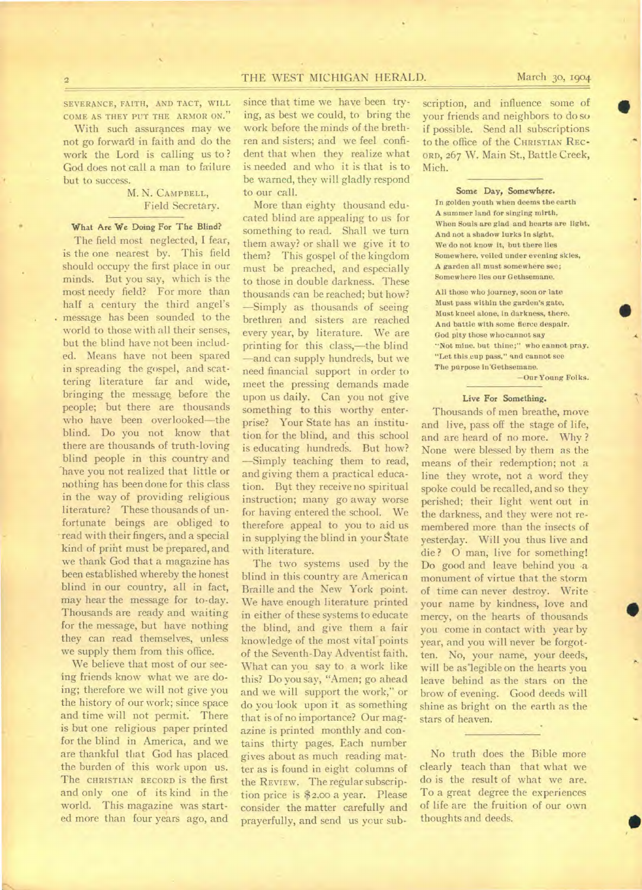# 2 **THE WEST MICHIGAN HERALD.** March 30, 1904

SEVERANCE, FAITH, AND TACT, WILL COME AS THEY PUT THE ARMOR ON."

With such assurances may we not go forward in faith and do the work the Lord is calling us to ? God does not call a man to failure but to success.

# M. N. CAMPBELL, Field Secretary.

# **What Are We Doing For The Blind?**

The field most neglected, I fear, is the one nearest by. This field should occupy the first place in our minds. But you say, which is the most needy field? For more than half a century the third angel's message has been sounded to the world to those with all their senses, but the blind have not been included. Means have not been spared in spreading the gospel, and scattering literature far and wide, bringing the message, before the people; but there are thousands who have been overlooked—the blind. Do you not know that there are thousands of truth-loving blind people in this country and have you not realized that little or nothing has been done for this class in the way of providing religious literature? These thousands of unfortunate beings are obliged to read with their fingers, and a special kind of print must be prepared, and we thank God that a magazine has been established whereby the honest blind in our country, all in fact, may hear the message for to-day. Thousands are ready and waiting for the message, but have nothing they can read themselves, unless we supply them from this office.

We believe that most of our seeing friends know what we are doing; therefore we will not give you the history of our work; since space and time will not permit. There is but one religious paper printed for the blind in America, and we are thankful that God has placed the burden of this work upon us. The CHRISTIAN RECORD is the first and only one of its kind in the world. This magazine was started more than four years ago, and

since that time we have been trying, as best we could, to bring the work before the minds of the brethren and sisters; and we feel confident that when they realize what is needed and who it is that is to be warned, they will gladly respond to our call.

More than eighty thousand educated blind are appealing to us for something to read. Shall we turn them away? or shall we give it to them? This gospel of the kingdom must be preached, and especially to those in double darkness. These thousands can be reached; but how? —Simply as thousands of seeing brethren and sisters are reached every year, by literature. We are printing for this class,—the blind —and can supply hundreds, but we need financial support in order to meet the pressing demands made upon us daily. Can you not give something to this worthy enterprise? Your State has an institution for the blind, and this school is educating hundreds. But how? —Simply teaching them to read, and giving them a practical education. But they receive no spiritual instruction; many go away worse for having entered the school. We therefore appeal to you to aid us in supplying the blind in your State with literature.

The two systems used by the blind in this country are American Braille and the New York point. We have enough literature printed in either of these systems to educate the blind, and give them a fair knowledge of the most vital points of the Seventh-Day Adventist faith. What can you, say to a work like this? Do you say, "Amen; go ahead and we will support the work," or do you look upon it as something that is of no importance? Our magazine is printed monthly and contains thirty pages. Each number gives about as much reading matter as is found in eight columns of the REVIEW. The regular subscription price is \$2.0o a year. Please consider the matter carefully and prayerfully, and send us your sub-

scription, and influence some of your friends and neighbors to do so if possible. Send all subscriptions to the office of the CHRISTIAN REC-ORD, 267 W. Main St., Battle Creek, Mich.

#### Some Day, Somewhere.

In golden youth when deems the earth A summer land for singing mirth, When Souls are glad and hearts are light, And not a shadow lurks in sight, We do not know it, but there lies Somewhere, veiled under evening skies, A garden all must somewhere see; Somewhere lies our Gethsemane.

All those who journey, soon or late Must pass within the garden's gate, Must kneel alone, in darkness, there. And battle with some fierce despair. God pity those who cannot say "Not mine. but thine;" who cannot pray, "Let this cup pass," and cannot see The purpose in'Gethsemane.

—Our Young Folks.

# Live For Something.

Thousands of men breathe, move and live, pass off the stage of life, and are heard of no more. Why ? None were blessed by them as the means of their redemption; not a line they wrote, not a word they spoke could be recalled, and so they perished; their light went out in the darkness, and they were not remembered more than the insects of yesterday. Will you thus live and die? 0 man, live for something! Do good and leave behind you a monument of virtue that the storm of time can never destroy. Write your name by kindness, love and mercy, on the hearts of thousands you come in contact with year by year, and you will never be forgotten. No, your name, your deeds, will be as legible on the hearts you leave behind as the stars on the brow of evening. Good deeds will shine as bright on the earth as the stars of heaven.

No truth does the Bible more clearly teach than that what we do is the result of what we are. To a great degree the experiences of life are the fruition of our own thoughts and deeds.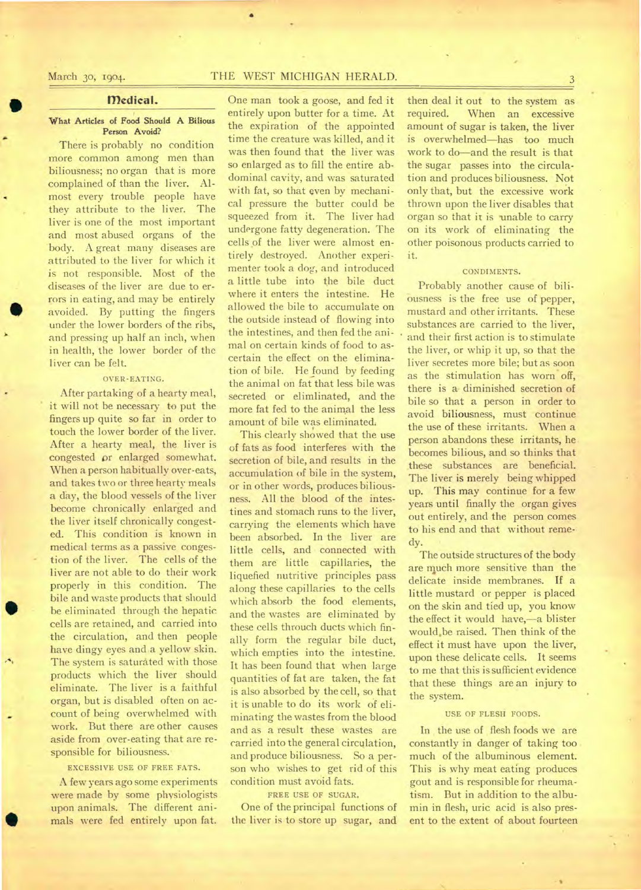•

# **medical.**

#### **What Articles of Food Should A Bilious Person Avoid?**

There is probably no condition more common among men than biliousness; no organ that is more complained of than the liver. Almost every trouble people have they attribute to the liver. The liver is one of the most important and most abused organs of the body. A great many diseases are attributed to the liver for which it is not responsible. Most of the diseases of the liver are due to errors in eating, and may be entirely avoided. By putting the fingers under the lower borders of the ribs, and pressing up half an inch, when in health, the lower border of the liver can be felt.

# OVER-EATING.

After partaking of a hearty meal, it will not be necessary to put the fingers up quite so far in order to touch the lower border of the liver. After a hearty meal, the liver is congested *or* enlarged somewhat. When a person habitually over-eats, and takes two or three hearty meals a day, the blood vessels of the liver become chronically enlarged and the liver itself chronically congested. This condition is known in medical terms as a passive congestion of the liver. The cells of the liver are not able to do their work properly in this condition. The bile and waste products that should be eliminated through the hepatic cells are retained, and carried into the circulation, and then people have dingy eyes and a yellow skin. The system is saturated with those products which the liver should eliminate. The liver is a faithful organ, but is disabled often on account of being overwhelmed with work. But there are other causes aside from over-eating that are responsible for biliousness.

# EXCESSIVE USE OF FREE FATS.

A few years ago some experiments were made by some physiologists upon animals. The different animals were fed entirely upon fat.

•

One man took a goose, and fed it entirely upon butter for a time. At the expiration of the appointed time the creature was killed, and it was then found that the liver was so enlarged as to fill the entire abdominal cavity, and was saturated with fat, so that even by mechanical pressure the butter could be squeezed from it. The liver had undergone fatty degeneration. The cells of the liver were almost entirely destroyed. Another experimenter took a dog, and introduced a little tube into the bile duct where it enters the intestine. He allowed the bile to accumulate on the outside instead of flowing into the intestines, and then fed the animal on certain kinds of food to ascertain the effect on the elimination of bile. He found by feeding the animal on fat that less bile was secreted or elimlinated, and the more fat fed to the animal the less amount of bile was eliminated,

This clearly showed that the use of fats as food interferes with the secretion of bile, and results in the accumulation of bile in the system, or in other words, produces biliousness. All the blood of the intestines and stomach runs to the liver, carrying the elements which have been absorbed. In the liver are little cells, and connected with them are little capillaries, the liquefied nutritive principles pass along these capillaries to the cells which absorb the food elements, and the wastes are eliminated by these cells throuch ducts which finally form the regular bile duct, which empties into the intestine. It has been found that when large quantities of fat are taken, the fat is also absorbed by the cell, so that it is unable to do its work of eliminating the wastes from the blood and as a result these wastes are carried into the general circulation, and produce biliousness. So a person who wishes to get rid of this condition must avoid fats.

#### FREE USE OF SUGAR.

One of the principal functions of the liver is to store up sugar, and

then deal it out to the system as required. When an excessive amount of sugar is taken, the liver is overwhelmed—has too much work to do—and the result is that the sugar passes into the circulation and produces biliousness. Not only that, but the excessive work thrown upon the liver disables that organ so that it is 'unable to carry on its work of eliminating the other poisonous products carried to it.

## CONDIMENTS.

Probably another cause of bili-Ousness is the free use of pepper, mustard and other irritants. These substances are carried to the liver, and their first action is to stimulate the liver, or whip it up, so that the liver secretes more bile; but as soon as the stimulation has worn off, there is a- diminished secretion of bile so that a person in order to avoid biliousness, must continue the use of these irritants. When a person abandons these irritants, he becomes bilious, and so thinks that these substances are beneficial. The liver is merely being whipped up. This may continue for a few years until finally the organ gives out entirely, and the person comes to his end and that without remedy.

The outside structures of the body are much more sensitive than the delicate inside membranes. If a little mustard or pepper is placed on the skin and tied up, you know the effect it would have,—a blister would.be raised. Then think of the effect it must have upon the liver, upon these delicate cells. It seems to me that this is sufficient evidence that these things are an injury to the system.

## USE OF FLESH FOODS.

In the use of flesh foods we are constantly in danger of taking too much of the albuminous element. This is why meat eating produces gout and is responsible for rheumatism. But in addition to the albumin in flesh, uric acid is also present to the extent of about fourteen

# March 30, 1904. THE WEST MICHIGAN HERALD.